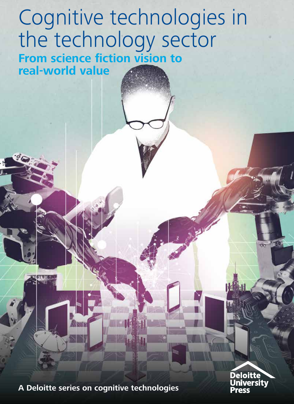### Cognitive technologies in the technology sector **From science fiction vision to real-world value**

**A Deloitte series on cognitive technologies**

**Deloitte University**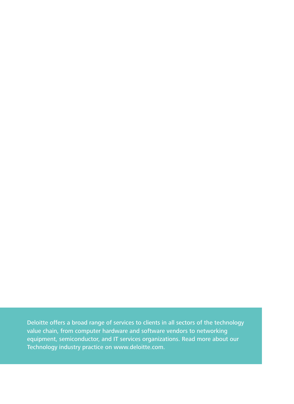Deloitte offers a broad range of services to clients in all sectors of the technology value chain, from computer hardware and software vendors to networking equipment, semiconductor, and IT services organizations. [Read more about our](http://www2.deloitte.com/us/en/pages/technology-media-and-telecommunications/solutions/technology-industry-services.html)  [Technology industry practice](http://www2.deloitte.com/us/en/pages/technology-media-and-telecommunications/solutions/technology-industry-services.html) on [www.deloitte.com](http://www.deloitte.com).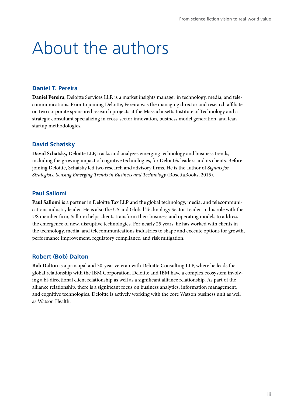# About the authors

#### **Daniel T. Pereira**

**Daniel Pereira**, Deloitte Services LLP, is a market insights manager in technology, media, and telecommunications. Prior to joining Deloitte, Pereira was the managing director and research affiliate on two corporate sponsored research projects at the Massachusetts Institute of Technology and a strategic consultant specializing in cross-sector innovation, business model generation, and lean startup methodologies.

#### **David Schatsky**

**David Schatsky,** Deloitte LLP, tracks and analyzes emerging technology and business trends, including the growing impact of cognitive technologies, for Deloitte's leaders and its clients. Before joining Deloitte, Schatsky led two research and advisory firms. He is the author of *Signals for Strategists: Sensing Emerging Trends in Business and Technology* (RosettaBooks, 2015).

#### **Paul Sallomi**

**Paul Sallomi** is a partner in Deloitte Tax LLP and the global technology, media, and telecommunications industry leader. He is also the US and Global Technology Sector Leader. In his role with the US member firm, Sallomi helps clients transform their business and operating models to address the emergence of new, disruptive technologies. For nearly 25 years, he has worked with clients in the technology, media, and telecommunications industries to shape and execute options for growth, performance improvement, regulatory compliance, and risk mitigation.

#### **Robert (Bob) Dalton**

**Bob Dalton** is a principal and 30-year veteran with Deloitte Consulting LLP, where he leads the global relationship with the IBM Corporation. Deloitte and IBM have a complex ecosystem involving a bi-directional client relationship as well as a significant alliance relationship. As part of the alliance relationship, there is a significant focus on business analytics, information management, and cognitive technologies. Deloitte is actively working with the core Watson business unit as well as Watson Health.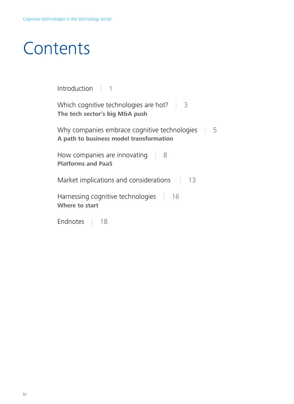# **Contents**

| Introduction $\vert$ 1                                                                       |  |  |
|----------------------------------------------------------------------------------------------|--|--|
| Which cognitive technologies are hot? $\parallel$<br>3<br>The tech sector's big M&A push     |  |  |
| Why companies embrace cognitive technologies<br>5<br>A path to business model transformation |  |  |
| How companies are innovating<br>- 8<br><b>Platforms and PaaS</b>                             |  |  |
| Market implications and considerations<br>13                                                 |  |  |
| Harnessing cognitive technologies $\Box$<br>16<br>Where to start                             |  |  |
| Endnotes<br>18                                                                               |  |  |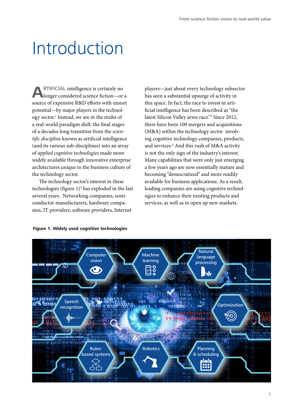# <span id="page-4-0"></span>Introduction

**A**RTIFICIAL intelligence is certainly no longer considered science fiction—or a source of expensive R&D efforts with unmet potential—by major players in the technology sector.<sup>1</sup> Instead, we are in the midst of a real-world paradigm shift: the final stages of a decades-long transition from the *scientific discipline* known as artificial intelligence (and its various sub-disciplines) into an array of *applied cognitive technologies* made more widely available through innovative enterprise architectures unique to the business culture of the technology sector.

The technology sector's interest in these technologies (figure 1)<sup>2</sup> has exploded in the last several years. Networking companies, semiconductor manufacturers, hardware companies, IT providers, software providers, Internet

players—just about every technology subsector has seen a substantial upsurge of activity in this space. In fact, the race to invest in artificial intelligence has been described as "the latest Silicon Valley arms race."3 Since 2012, there have been 100 mergers and acquisitions (M&A) within the technology sector involving cognitive technology companies, products, and services.4 And this rush of M&A activity is not the only sign of the industry's interest. Many capabilities that were only just emerging a few years ago are now essentially mature and becoming "democratized" and more readily available for business applications. As a result, leading companies are using cognitive technologies to enhance their existing products and services, as well as to open up new markets.



#### **Figure 1. Widely used cognitive technologies**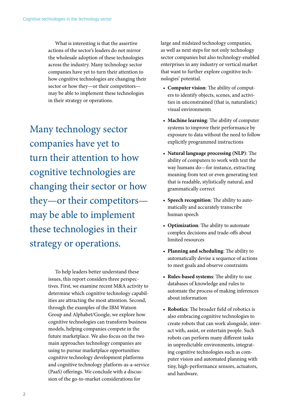What is interesting is that the assertive actions of the sector's leaders do not mirror the wholesale adoption of these technologies across the industry. Many technology sector companies have yet to turn their attention to how cognitive technologies are changing their sector or how they—or their competitors may be able to implement these technologies in their strategy or operations.

Many technology sector companies have yet to turn their attention to how cognitive technologies are changing their sector or how they—or their competitors may be able to implement these technologies in their strategy or operations.

> To help leaders better understand these issues, this report considers three perspectives. First, we examine recent M&A activity to determine which cognitive technology capabilities are attracting the most attention. Second, through the examples of the IBM Watson Group and Alphabet/Google, we explore how cognitive technologies can transform business models, helping companies compete in the future marketplace. We also focus on the two main approaches technology companies are using to pursue marketplace opportunities: cognitive technology development platforms and cognitive technology platform-as-a-service (PaaS) offerings. We conclude with a discussion of the go-to-market considerations for

large and midsized technology companies, as well as next steps for not only technology sector companies but also technology-enabled enterprises in any industry or vertical market that want to further explore cognitive technologies' potential.

- **Computer vision**: The ability of computers to identify objects, scenes, and activities in unconstrained (that is, naturalistic) visual environments
- **Machine learning**: The ability of computer systems to improve their performance by exposure to data without the need to follow explicitly programmed instructions
- **Natural language processing (NLP)**: The ability of computers to work with text the way humans do—for instance, extracting meaning from text or even generating text that is readable, stylistically natural, and grammatically correct
- **Speech recognition**: The ability to automatically and accurately transcribe human speech
- **Optimization**: The ability to automate complex decisions and trade-offs about limited resources
- **Planning and scheduling**: The ability to automatically devise a sequence of actions to meet goals and observe constraints
- **Rules-based systems**: The ability to use databases of knowledge and rules to automate the process of making inferences about information
- **Robotics**: The broader field of robotics is also embracing cognitive technologies to create robots that can work alongside, interact with, assist, or entertain people. Such robots can perform many different tasks in unpredictable environments, integrating cognitive technologies such as computer vision and automated planning with tiny, high-performance sensors, actuators, and hardware.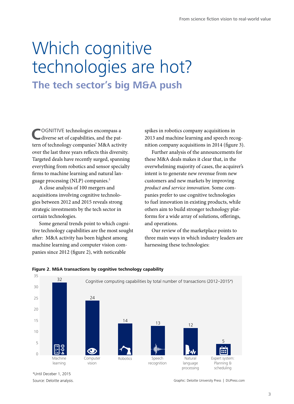### <span id="page-6-0"></span>Which cognitive technologies are hot? **The tech sector's big M&A push**

COGNITIVE technologies encompass a diverse set of capabilities, and the pattern of technology companies' M&A activity over the last three years reflects this diversity. Targeted deals have recently surged, spanning everything from robotics and sensor specialty firms to machine learning and natural language processing (NLP) companies.5

A close analysis of 100 mergers and acquisitions involving cognitive technologies between 2012 and 2015 reveals strong strategic investments by the tech sector in certain technologies.

Some general trends point to which cognitive technology capabilities are the most sought after: M&A activity has been highest among machine learning and computer vision companies since 2012 (figure 2), with noticeable

spikes in robotics company acquisitions in 2013 and machine learning and speech recognition company acquisitions in 2014 (figure 3).

Further analysis of the announcements for these M&A deals makes it clear that, in the overwhelming majority of cases, the acquirer's intent is to generate new revenue from new customers and new markets by improving *product and service innovation*. Some companies prefer to use cognitive technologies to fuel innovation in existing products, while others aim to build stronger technology platforms for a wide array of solutions, offerings, and operations.

Our review of the marketplace points to three main ways in which industry leaders are harnessing these technologies:



#### **Figure 2. M&A transactions by cognitive technology capability**

Source: Deloitte analysis. \*Until Deceber 1, 2015

Graphic: Deloitte University Press | DUPress.com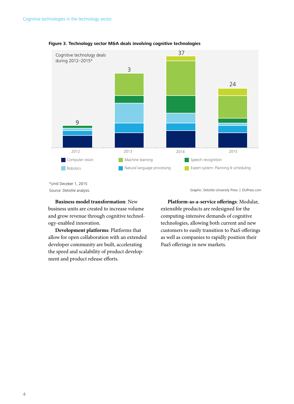

#### **Figure 3. Technology sector M&A deals involving cognitive technologies**

Source: Deloitte analysis. \*Until Deceber 1, 2015

**Business model transformation**: New business units are created to increase volume and grow revenue through cognitive technology-enabled innovation.

**Development platforms**: Platforms that allow for open collaboration with an extended developer community are built, accelerating the speed and scalability of product development and product release efforts.

Graphic: Deloitte University Press | DUPress.com

**Platform-as-a-service offerings**: Modular, extensible products are redesigned for the computing-intensive demands of cognitive technologies, allowing both current and new customers to easily transition to PaaS offerings as well as companies to rapidly position their PaaS offerings in new markets.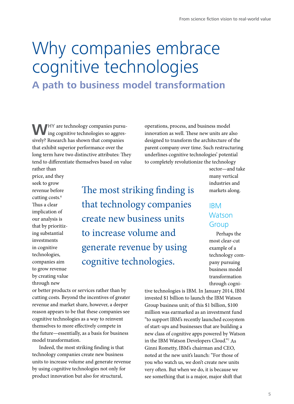## <span id="page-8-0"></span>Why companies embrace cognitive technologies **A path to business model transformation**

**W**HY are technology companies pursu-<br>ing cognitive technologies so aggressively? Research has shown that companies that exhibit superior performance over the long term have two distinctive attributes: They tend to differentiate themselves based on value

operations, process, and business model innovation as well. These new units are also designed to transform the architecture of the parent company over time. Such restructuring underlines cognitive technologies' potential to completely revolutionize the technology

rather than price, and they seek to grow revenue before cutting costs.<sup>6</sup> Thus a clear implication of our analysis is that by prioritizing substantial investments in cognitive technologies, companies aim to grow revenue by creating value through new

The most striking finding is that technology companies create new business units to increase volume and generate revenue by using cognitive technologies.

sector—and take many vertical industries and markets along.

### IBM **Watson** Group

Perhaps the most clear-cut example of a technology company pursuing business model transformation through cogni-

or better products or services rather than by cutting costs. Beyond the incentives of greater revenue and market share, however, a deeper reason appears to be that these companies see cognitive technologies as a way to reinvent themselves to more effectively compete in the future—essentially, as a basis for business model transformation.

Indeed, the most striking finding is that technology companies create new business units to increase volume and generate revenue by using cognitive technologies not only for product innovation but also for structural,

tive technologies is IBM. In January 2014, IBM invested \$1 billion to launch the IBM Watson Group business unit; of this \$1 billion, \$100 million was earmarked as an investment fund "to support IBM's recently launched ecosystem of start-ups and businesses that are building a new class of cognitive apps powered by Watson in the IBM Watson Developers Cloud."7 As Ginni Rometty, IBM's chairman and CEO, noted at the new unit's launch: "For those of you who watch us, we don't create new units very often. But when we do, it is because we see something that is a major, major shift that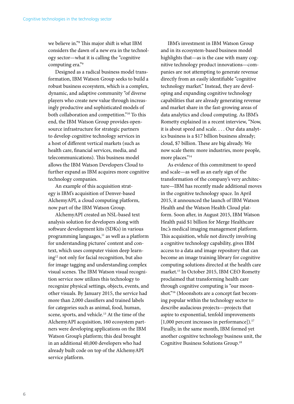we believe in."8 This major shift is what IBM considers the dawn of a new era in the technology sector—what it is calling the "cognitive computing era."9

Designed as a radical business model transformation, IBM Watson Group seeks to build a robust business ecosystem, which is a complex, dynamic, and adaptive community "of diverse players who create new value through increasingly productive and sophisticated models of both collaboration and competition."10 To this end, the IBM Watson Group provides opensource infrastructure for strategic partners to develop cognitive technology services in a host of different vertical markets (such as health care, financial services, media, and telecommunications). This business model allows the IBM Watson Developers Cloud to further expand as IBM acquires more cognitive technology companies.

An example of this acquisition strategy is IBM's acquisition of Denver-based AlchemyAPI, a cloud computing platform, now part of the IBM Watson Group.

AlchemyAPI created an NSL-based text analysis solution for developers along with software development kits (SDKs) in various programming languages,<sup>11</sup> as well as a platform for understanding pictures' content and context, which uses computer vision deep learning12 not only for facial recognition, but also for image tagging and understanding complex visual scenes. The IBM Watson visual recognition service now utilizes this technology to recognize physical settings, objects, events, and other visuals. By January 2015, the service had more than 2,000 classifiers and trained labels for categories such as animal, food, human, scene, sports, and vehicle.<sup>13</sup> At the time of the AlchemyAPI acquisition, 160 ecosystem partners were developing applications on the IBM Watson Group's platform; this deal brought in an additional 40,000 developers who had already built code on top of the AlchemyAPI service platform.

IBM's investment in IBM Watson Group and in its ecosystem-based business model highlights that—as is the case with many cognitive technology product innovations—companies are not attempting to generate revenue directly from an easily identifiable "cognitive technology market." Instead, they are developing and expanding cognitive technology capabilities that are already generating revenue and market share in the fast-growing areas of data analytics and cloud computing. As IBM's Rometty explained in a recent interview, "Now, it is about speed and scale. . . . Our data analytics business is a \$17 billion business already; cloud, \$7 billion. These are big already. We now scale them: more industries, more people, more places."14

As evidence of this commitment to speed and scale—as well as an early sign of the transformation of the company's very architecture—IBM has recently made additional moves in the cognitive technology space. In April 2015, it announced the launch of IBM Watson Health and the Watson Health Cloud platform. Soon after, in August 2015, IBM Watson Health paid \$1 billion for Merge Healthcare Inc.'s medical imaging management platform. This acquisition, while not directly involving a cognitive technology capability, gives IBM access to a data and image repository that can become an image training library for cognitive computing solutions directed at the health care market.15 In October 2015, IBM CEO Rometty proclaimed that transforming health care through cognitive computing is "our moonshot."<sup>16</sup> (Moonshots are a concept fast becoming popular within the technology sector to describe audacious projects—projects that aspire to exponential, tenfold improvements  $[1,000$  percent increases in performance]).<sup>17</sup> Finally, in the same month, IBM formed yet another cognitive technology business unit, the Cognitive Business Solutions Group.18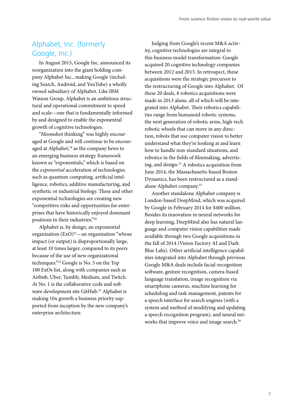### Alphabet, Inc. (formerly Google, Inc.)

In August 2015, Google Inc. announced its reorganization into the giant holding company Alphabet Inc., making Google (including Search, Android, and YouTube) a wholly owned subsidiary of Alphabet. Like IBM Watson Group, Alphabet is an ambitious structural and operational commitment to speed and scale—one that is fundamentally informed by and designed to enable the exponential growth of cognitive technologies.

"Moonshot thinking" was highly encouraged at Google and will continue to be encouraged at Alphabet,<sup>19</sup> as the company hews to an emerging business strategy framework known as "exponentials," which is based on the *exponential* acceleration of technologies such as quantum computing, artificial intelligence, robotics, additive manufacturing, and synthetic or industrial biology. These and other exponential technologies are creating new "competitive risks and opportunities for enterprises that have historically enjoyed dominant positions in their industries."20

Alphabet is, by design, an exponential organization  $(ExO)^{21}$ —an organization "whose impact (or output) is disproportionally large, at least 10 times larger, compared to its peers because of the use of new organizational techniques."22 Google is No. 5 on the Top 100 ExOs list, along with companies such as Airbnb, Uber, Tumblr, Medium, and Twitch. At No. 1 is the collaborative code and software development site GitHub.<sup>23</sup> Alphabet is making 10x growth a business priority supported from inception by the new company's enterprise architecture.

Judging from Google's recent M&A activity, cognitive technologies are integral to this business model transformation: Google acquired 20 cognitive technology companies between 2012 and 2015. In retrospect, these acquisitions were the strategic precursor to the restructuring of Google into Alphabet. Of these 20 deals, 8 robotics acquisitions were made in 2013 alone, all of which will be integrated into Alphabet. Their robotics capabilities range from humanoid robotic systems, the next generation of robotic arms, high-tech robotic wheels that can move in any direction, robots that use computer vision to better understand what they're looking at and learn how to handle non-standard situations, and robotics in the fields of filmmaking, advertising, and design.24 A robotics acquisition from June 2014, the Massachusetts-based Boston Dynamics, has been restructured as a standalone Alphabet company.25

Another standalone Alphabet company is London-based DeepMind, which was acquired by Google in February 2014 for \$400 million. Besides its innovation in neural networks for deep learning, DeepMind also has natural language and computer vision capabilities made available through two Google acquisitions in the fall of 2014 (Vision Factory AI and Dark Blue Labs). Other artificial intelligence capabilities integrated into Alphabet through previous Google M&A deals include facial-recognition software, gesture recognition, camera-based language translation, image recognition via smartphone cameras, machine learning for scheduling and task management, patents for a speech interface for search engines (with a system and method of modifying and updating a speech recognition program), and neural networks that improve voice and image search.<sup>26</sup>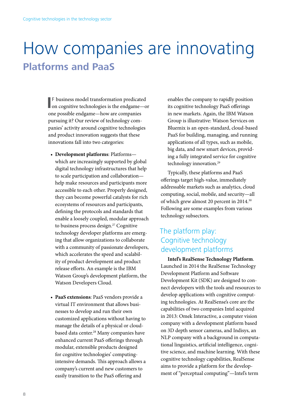### <span id="page-11-0"></span>How companies are innovating **Platforms and PaaS**

**I** F business model transformation predicated on cognitive technologies is the endgame—or F business model transformation predicated one possible endgame—how are companies pursuing it? Our review of technology companies' activity around cognitive technologies and product innovation suggests that these innovations fall into two categories:

- **Development platforms**: Platforms which are increasingly supported by global digital technology infrastructures that help to scale participation and collaboration help make resources and participants more accessible to each other. Properly designed, they can become powerful catalysts for rich ecosystems of resources and participants, defining the protocols and standards that enable a loosely coupled, modular approach to business process design.<sup>27</sup> Cognitive technology developer platforms are emerging that allow organizations to collaborate with a community of passionate developers, which accelerates the speed and scalability of product development and product release efforts. An example is the IBM Watson Group's development platform, the Watson Developers Cloud.
- **PaaS extensions**: PaaS vendors provide a virtual IT environment that allows businesses to develop and run their own customized applications without having to manage the details of a physical or cloudbased data center.<sup>28</sup> Many companies have enhanced current PaaS offerings through modular, extensible products designed for cognitive technologies' computingintensive demands. This approach allows a company's current and new customers to easily transition to the PaaS offering and

enables the company to rapidly position its cognitive technology PaaS offerings in new markets. Again, the IBM Watson Group is illustrative: Watson Services on Bluemix is an open-standard, cloud-based PaaS for building, managing, and running applications of all types, such as mobile, big data, and new smart devices, providing a fully integrated service for cognitive technology innovation.<sup>29</sup>

Typically, these platforms and PaaS offerings target high-value, immediately addressable markets such as analytics, cloud computing, social, mobile, and security—all of which grew almost 20 percent in 2014.<sup>30</sup> Following are some examples from various technology subsectors.

### The platform play: Cognitive technology development platforms

**Intel's RealSense Technology Platform**. Launched in 2014 the RealSense Technology Development Platform and Software Development Kit (SDK) are designed to connect developers with the tools and resources to develop applications with cognitive computing technologies. At RealSense's core are the capabilities of two companies Intel acquired in 2013: Omek Interactive, a computer vision company with a development platform based on 3D depth sensor cameras, and Indisys, an NLP company with a background in computational linguistics, artificial intelligence, cognitive science, and machine learning. With these cognitive technology capabilities, RealSense aims to provide a platform for the development of "perceptual computing"—Intel's term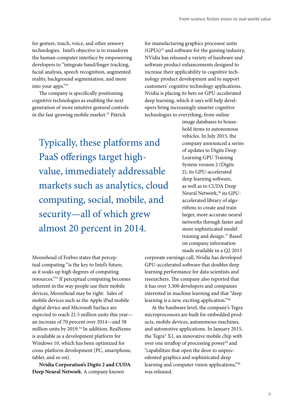for gesture, touch, voice, and other sensory technologies. Intel's objective is to transform the human-computer interface by empowering developers to "integrate hand/finger tracking, facial analysis, speech recognition, augmented reality, background segmentation, and more into your apps."31

The company is specifically positioning cognitive technologies as enabling the next generation of more intuitive gestural controls in the fast-growing mobile market.<sup>32</sup> Patrick

Typically, these platforms and PaaS offerings target highvalue, immediately addressable markets such as analytics, cloud computing, social, mobile, and security—all of which grew almost 20 percent in 2014.

for manufacturing graphics processor units (GPUs)35 and software for the gaming industry, NVidia has released a variety of hardware and software product enhancements designed to increase their applicability to cognitive technology product development and to support customers' cognitive technology applications. Nvidia is placing its bets on GPU-accelerated deep learning, which it says will help developers bring increasingly smarter cognitive technologies to everything, from online

> image databases to household items to autonomous vehicles. In July 2015, the company announced a series of updates to Digits Deep Learning GPU Training System version 2 (Digits 2), its GPU-accelerated deep learning software, as well as to CUDA Deep Neural Network,<sup>36</sup> its GPUaccelerated library of algorithms to create and train larger, more accurate neural networks through faster and more sophisticated model training and design.37 Based on company information made available in a Q2 2015

Moorehead of Forbes states that perceptual computing "is the key to Intel's future, as it soaks up high degrees of computing resources."33 If perceptual computing becomes inherent in the way people use their mobile devices, Moorehead may be right: Sales of mobile devices such as the Apple iPad mobile digital device and Microsoft Surface are expected to reach 21.5 million units this year an increase of 70 percent over 2014—and 58 million units by 2019.34 In addition, RealSense is available as a development platform for Windows 10, which has been optimized for cross-platform development (PC, smartphone, tablet, and so on).

**Nvidia Corporation's Digits 2 and CUDA Deep Neural Network**. A company known

corporate earnings call, Nvidia has developed GPU-accelerated software that doubles deep learning performance for data scientists and researchers. The company also reported that it has over 3,300 developers and companies interested in machine learning and that "deep learning is a new, exciting application."38

At the hardware level, the company's Tegra microprocessors are built for embedded products, mobile devices, autonomous machines, and automotive applications. In January 2015, the Tegra® X1, an innovative mobile chip with over one teraflop of processing power<sup>39</sup> and "capabilities that open the door to unprecedented graphics and sophisticated deep learning and computer vision applications,"40 was released.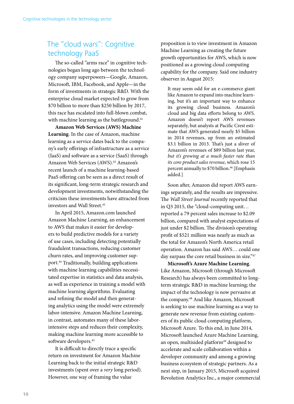### The "cloud wars": Cognitive technology PaaS

The so-called "arms race" in cognitive technologies began long ago between the technology company superpowers—Google, Amazon, Microsoft, IBM, Facebook, and Apple—in the form of investments in strategic R&D. With the enterprise cloud market expected to grow from \$70 billion to more than \$250 billion by 2017, this race has escalated into full-blown combat, with machine learning as the battleground.<sup>41</sup>

**Amazon Web Services (AWS) Machine Learning**. In the case of Amazon, machine learning as a service dates back to the company's early offerings of infrastructure as a service (IaaS) and software as a service (SaaS) through Amazon Web Services (AWS).<sup>42</sup> Amazon's recent launch of a machine learning-based PaaS offering can be seen as a direct result of its significant, long-term strategic research and development investments, notwithstanding the criticism these investments have attracted from investors and Wall Street.<sup>43</sup>

In April 2015, Amazon.com launched Amazon Machine Learning, an enhancement to AWS that makes it easier for developers to build predictive models for a variety of use cases, including detecting potentially fraudulent transactions, reducing customer churn rates, and improving customer support.44 Traditionally, building applications with machine learning capabilities necessitated expertise in statistics and data analysis, as well as experience in training a model with machine learning algorithms. Evaluating and refining the model and then generating analytics using the model were extremely labor-intensive. Amazon Machine Learning, in contrast, automates many of these laborintensive steps and reduces their complexity, making machine learning more accessible to software developers.<sup>45</sup>

It is difficult to directly trace a specific return on investment for Amazon Machine Learning back to the initial strategic R&D investments (spent over a *very* long period). However, one way of framing the value

proposition is to view investment in Amazon Machine Learning as creating the future growth opportunities for AWS, which is now positioned as a growing cloud computing capability for the company. Said one industry observer in August 2015:

It may seem odd for an e-commerce giant like Amazon to expand into machine learning, but it's an important way to enhance its growing cloud business. Amazon's cloud and big data efforts belong to AWS. Amazon doesn't report AWS revenues separately, but analysts at Pacific Crest estimate that AWS generated nearly \$5 billion in 2014 revenues, up from an estimated \$3.1 billion in 2013. That's just a sliver of Amazon's revenues of \$89 billion last year, *but it's growing at a much faster rate than its core product sales revenue*, which rose 15 percent annually to \$70 billion.46 [Emphasis added.]

Soon after, Amazon did report AWS earnings separately, and the results are impressive. The *Wall Street Journal* recently reported that in Q3 2015, the "cloud-computing unit… reported a 79 percent sales increase to \$2.09 billion, compared with analyst expectations of just under \$2 billion. The division's operating profit of \$521 million was nearly as much as the total for Amazon's North America retail operation. Amazon has said AWS… could one day surpass the core retail business in size."47

**Microsoft's Azure Machine Learning**. Like Amazon, Microsoft (through Microsoft Research) has always been committed to longterm strategic R&D in machine learning; the impact of the technology is now pervasive at the company.48 And like Amazon, Microsoft is seeking to use machine learning as a way to generate new revenue from existing customers of its public cloud computing platform, Microsoft Azure. To this end, in June 2014, Microsoft launched Azure Machine Learning, an open, multisided platform<sup>49</sup> designed to accelerate and scale collaboration within a developer community and among a growing business ecosystem of strategic partners. As a next step, in January 2015, Microsoft acquired Revolution Analytics Inc., a major commercial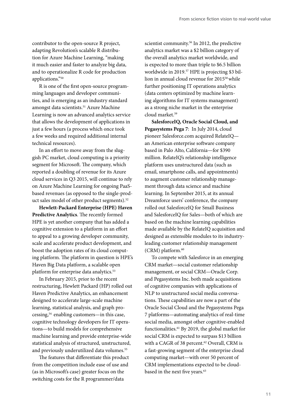contributor to the open-source R project, adapting Revolution's scalable R distribution for Azure Machine Learning, "making it much easier and faster to analyze big data, and to operationalize R code for production applications."50

R is one of the first open-source programming languages and developer communities, and is emerging as an industry standard amongst data scientists.<sup>51</sup> Azure Machine Learning is now an advanced analytics service that allows the development of applications in just a few hours (a process which once took a few weeks and required additional internal technical resources).

In an effort to move away from the sluggish PC market, cloud computing is a priority segment for Microsoft. The company, which reported a doubling of revenue for its Azure cloud services in Q3 2015, will continue to rely on Azure Machine Learning for ongoing PaaSbased revenues (as opposed to the single-product sales model of other product segments).<sup>52</sup>

**Hewlett-Packard Enterprise (HPE) Haven Predictive Analytics**. The recently formed HPE is yet another company that has added a cognitive extension to a platform in an effort to appeal to a growing developer community, scale and accelerate product development, and boost the adoption rates of its cloud computing platform. The platform in question is HPE's Haven Big Data platform, a scalable open platform for enterprise data analytics.<sup>53</sup>

In February 2015, prior to the recent restructuring, Hewlett Packard (HP) rolled out Haven Predictive Analytics, an enhancement designed to accelerate large-scale machine learning, statistical analysis, and graph processing,54 enabling customers—in this case, cognitive technology developers for IT operations—to build models for comprehensive machine learning and provide enterprise-wide statistical analysis of structured, unstructured, and previously underutilized data volumes.<sup>55</sup>

The features that differentiate this product from the competition include ease of use and (as in Microsoft's case) greater focus on the switching costs for the R programmer/data

scientist community.<sup>56</sup> In 2012, the predictive analytics market was a \$2 billion category of the overall analytics market worldwide, and is expected to more than triple to \$6.5 billion worldwide in 2019.<sup>57</sup> HPE is projecting \$3 billion in annual cloud revenue for 201558 while further positioning IT operations analytics (data centers optimized by machine learning algorithms for IT systems management) as a strong niche market in the enterprise cloud market.59

**SalesforceIQ, Oracle Social Cloud, and Pegasystems Pega 7**: In July 2014, cloud pioneer Salesforce.com acquired RelateIQ an American enterprise software company based in Palo Alto, California—for \$390 million. RelateIQ's relationship intelligence platform uses unstructured data (such as email, smartphone calls, and appointments) to augment customer relationship management through data science and machine learning. In September 2015, at its annual Dreamforce users' conference, the company rolled out SalesforceIQ for Small Business and SalesforceIQ for Sales—both of which are based on the machine learning capabilities made available by the RelateIQ acquisition and designed as extensible modules to its industryleading customer relationship management (CRM) platform.<sup>60</sup>

To compete with Salesforce in an emerging CRM market—social customer relationship management, or social CRM—Oracle Corp. and Pegasystems Inc. both made acquisitions of cognitive companies with applications of NLP to unstructured social media conversations. These capabilities are now a part of the Oracle Social Cloud and the Pegasystems Pega 7 platforms—automating analytics of real-time social media, amongst other cognitive-enabled functionalities.61 By 2019, the global market for social CRM is expected to surpass \$13 billion with a CAGR of 38 percent.<sup>62</sup> Overall, CRM is a fast-growing segment of the enterprise cloud computing market—with over 50 percent of CRM implementations expected to be cloudbased in the next five years.<sup>63</sup>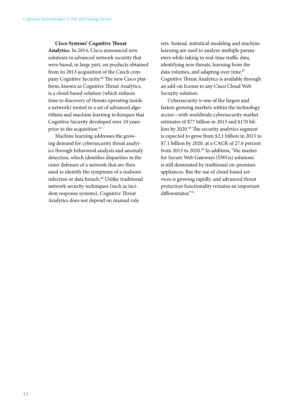#### **Cisco Systems' Cognitive Threat**

**Analytics**. In 2014, Cisco announced new solutions in advanced network security that were based, in large part, on products obtained from its 2013 acquisition of the Czech company Cognitive Security.64 The new Cisco platform, known as Cognitive Threat Analytics, is a cloud-based solution (which reduces time to discovery of threats operating inside a network) rooted in a set of advanced algorithms and machine learning techniques that Cognitive Security developed over 10 years prior to the acquisition.<sup>65</sup>

Machine learning addresses the growing demand for cybersecurity threat analytics through behavioral analysis and anomaly detection, which identifies disparities in the outer defenses of a network that are then used to identify the symptoms of a malware infection or data breach.<sup>66</sup> Unlike traditional network security techniques (such as incident response systems), Cognitive Threat Analytics does not depend on manual rule

sets. Instead, statistical modeling and machine learning are used to analyze multiple parameters while taking in real-time traffic data, identifying new threats, learning from the data volumes, and adapting over time.<sup>67</sup> Cognitive Threat Analytics is available through an add-on license to any Cisco Cloud Web Security solution.

Cybersecurity is one of the largest and fastest-growing markets within the technology sector—with worldwide cybersecurity market estimates of \$77 billion in 2015 and \$170 billion by 2020.<sup>68</sup> The security analytics segment is expected to grow from \$2.1 billion in 2015 to \$7.1 billion by 2020, at a CAGR of 27.6 percent from 2015 to 2020.<sup>69</sup> In addition, "the market for Secure Web Gateways (SWGs) solutions is still dominated by traditional on-premises appliances. But the use of cloud-based services is growing rapidly, and advanced threat protection functionality remains an important differentiator."70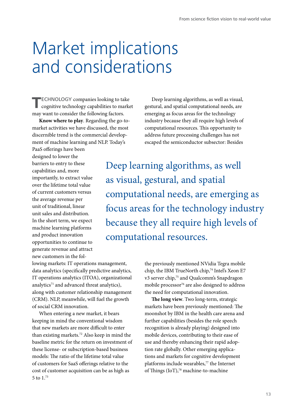## <span id="page-16-0"></span>Market implications and considerations

**TECHNOLOGY** companies looking to take cognitive technology capabilities to market may want to consider the following factors.

**Know where to play**. Regarding the go-tomarket activities we have discussed, the most discernible trend is the commercial development of machine learning and NLP. Today's

Deep learning algorithms, as well as visual, gestural, and spatial computational needs, are emerging as focus areas for the technology industry because they all require high levels of computational resources. This opportunity to address future processing challenges has not escaped the semiconductor subsector: Besides

PaaS offerings have been designed to lower the barriers to entry to these capabilities and, more importantly, to extract value over the lifetime total value of current customers versus the average revenue per unit of traditional, linear unit sales and distribution. In the short term, we expect machine learning platforms and product innovation opportunities to continue to generate revenue and attract new customers in the fol-

Deep learning algorithms, as well as visual, gestural, and spatial computational needs, are emerging as focus areas for the technology industry because they all require high levels of computational resources.

lowing markets: IT operations management, data analytics (specifically predictive analytics, IT operations analytics (ITOA), organizational analytics<sup>71</sup> and advanced threat analytics), along with customer relationship management (CRM). NLP, meanwhile, will fuel the growth of social CRM innovation.

When entering a new market, it bears keeping in mind the conventional wisdom that new markets are more difficult to enter than existing markets.72 Also keep in mind the baseline metric for the return on investment of these license- or subscription-based business models: The ratio of the lifetime total value of customers for SaaS offerings relative to the cost of customer acquisition can be as high as 5 to 1.73

the previously mentioned NVidia Tegra mobile chip, the IBM TrueNorth chip,<sup>74</sup> Intel's Xeon E7 v3 server chip,<sup>75</sup> and Qualcomm's Snapdragon mobile processor<sup>76</sup> are also designed to address the need for computational innovation.

**The long view**. Two long-term, strategic markets have been previously mentioned: The moonshot by IBM in the health care arena and further capabilities (besides the role speech recognition is already playing) designed into mobile devices, contributing to their ease of use and thereby enhancing their rapid adoption rate globally. Other emerging applications and markets for cognitive development platforms include wearables,<sup>77</sup> the Internet of Things (IoT),<sup>78</sup> machine-to-machine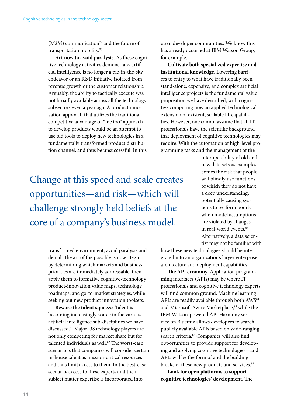$(M2M)$  communication<sup>79</sup> and the future of transportation mobility.<sup>80</sup>

**Act now to avoid paralysis**. As these cognitive technology activities demonstrate, artificial intelligence is no longer a pie-in-the-sky endeavor or an R&D initiative isolated from revenue growth or the customer relationship. Arguably, the ability to tactically execute was not broadly available across all the technology subsectors even a year ago. A product innovation approach that utilizes the traditional competitive advantage or "me too" approach to develop products would be an attempt to use old tools to deploy new technologies in a fundamentally transformed product distribution channel, and thus be unsuccessful. In this

Change at this speed and scale creates opportunities—and risk—which will challenge strongly held beliefs at the core of a company's business model.

> transformed environment, avoid paralysis and denial. The art of the possible is now. Begin by determining which markets and business priorities are immediately addressable, then apply them to formative cognitive-technology product-innovation value maps, technology roadmaps, and go-to-market strategies, while seeking out new product innovation toolsets.

**Beware the talent squeeze**. Talent is becoming increasingly scarce in the various artificial intelligence sub-disciplines we have discussed.81 Major US technology players are not only competing for market share but for talented individuals as well.<sup>82</sup> The worst-case scenario is that companies will consider certain in-house talent as mission-critical resources and thus limit access to them. In the best-case scenario, access to these experts and their subject matter expertise is incorporated into

open developer communities. We know this has already occurred at IBM Watson Group, for example.

**Cultivate both specialized expertise and institutional knowledge**. Lowering barriers to entry to what have traditionally been stand-alone, expensive, and complex artificial intelligence projects is the fundamental value proposition we have described, with cognitive computing now an applied technological extension of existent, scalable IT capabilities. However, one cannot assume that all IT professionals have the scientific background that deployment of cognitive technologies may require. With the automation of high-level programming tasks and the management of the

> interoperability of old and new data sets as examples comes the risk that people will blindly use functions of which they do not have a deep understanding, potentially causing systems to perform poorly when model assumptions are violated by changes in real-world events.<sup>83</sup> Alternatively, a data scientist may not be familiar with

how these new technologies should be integrated into an organization's larger enterprise architecture and deployment capabilities.

**The API economy**. Application programming interfaces (APIs) may be where IT professionals and cognitive technology experts will find common ground. Machine learning APIs are readily available through both AWS<sup>84</sup> and Microsoft Azure Marketplace,<sup>85</sup> while the IBM Watson-powered API Harmony service on Bluemix allows developers to search publicly available APIs based on wide-ranging search criteria.<sup>86</sup> Companies will also find opportunities to provide support for developing and applying cognitive technologies—and APIs will be the form of and the building blocks of these new products and services.<sup>87</sup>

**Look for open platforms to support cognitive technologies' development**. The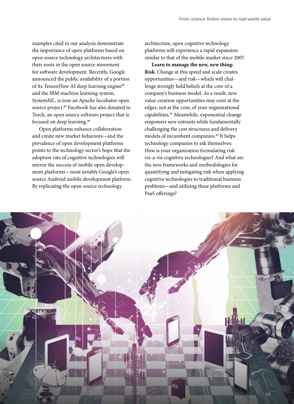examples cited in our analysis demonstrate the importance of open platforms based on open source technology architectures with their roots in the open source movement for software development. Recently, Google announced the public availability of a portion of its TensorFlow AI deep learning engine<sup>88</sup> and the IBM machine learning system, SystemML, is now an Apache Incubator open source project.<sup>89</sup> Facebook has also donated to Torch, an open source software project that is focused on deep learning.<sup>90</sup>

Open platforms enhance collaboration and create new market behaviors—and the prevalence of open development platforms points to the technology sector's hope that the adoption rate of cognitive technologies will mirror the success of mobile open development platforms—most notably Google's open source Android mobile development platform. By replicating the open source technology

architecture, open cognitive technology platforms will experience a rapid expansion similar to that of the mobile market since 2007.

**Learn to manage the new, new thing: Risk**. Change at this speed and scale creates opportunities—and risk—which will challenge strongly held beliefs at the core of a company's business model. As a result, new value creation opportunities may exist at the edges, not at the core, of your organizational capabilities.91 Meanwhile, exponential change empowers new entrants while fundamentally challenging the cost structures and delivery models of incumbent companies.<sup>92</sup> It helps technology companies to ask themselves: How is your organization formulating risk vis-a-vis cognitive technologies? And what are the new frameworks and methodologies for quantifying and mitigating risk when applying cognitive technologies to traditional business problems—and utilizing these platforms and PaaS offerings?

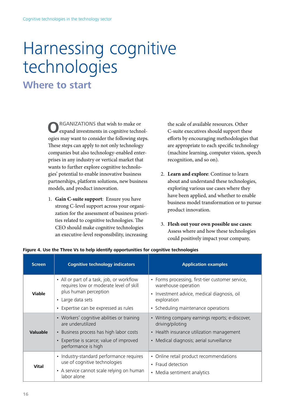# <span id="page-19-0"></span>Harnessing cognitive technologies

### **Where to start**

**O**RGANIZATIONS that wish to make or expand investments in cognitive technologies may want to consider the following steps. These steps can apply to not only technology companies but also technology-enabled enterprises in any industry or vertical market that wants to further explore cognitive technologies' potential to enable innovative business partnerships, platform solutions, new business models, and product innovation.

1. **Gain C-suite support**: Ensure you have strong C-level support across your organization for the assessment of business priorities related to cognitive technologies. The CEO should make cognitive technologies an executive-level responsibility, increasing

the scale of available resources. Other C-suite executives should support these efforts by encouraging methodologies that are appropriate to each specific technology (machine learning, computer vision, speech recognition, and so on).

- 2. **Learn and explore**: Continue to learn about and understand these technologies, exploring various use cases where they have been applied, and whether to enable business model transformation or to pursue product innovation.
- 3. **Flesh out your own possible use cases**: Assess where and how these technologies could positively impact your company,

| <b>Screen</b>   | <b>Cognitive technology indicators</b>                                                                                                                                    | <b>Application examples</b>                                                                                                                                                             |
|-----------------|---------------------------------------------------------------------------------------------------------------------------------------------------------------------------|-----------------------------------------------------------------------------------------------------------------------------------------------------------------------------------------|
| <b>Viable</b>   | • All or part of a task, job, or workflow<br>requires low or moderate level of skill<br>plus human perception<br>• Large data sets<br>Expertise can be expressed as rules | • Forms processing, first-tier customer service,<br>warehouse operation<br>Investment advice, medical diagnosis, oil<br>$\bullet$<br>exploration<br>• Scheduling maintenance operations |
| <b>Valuable</b> | • Workers' cognitive abilities or training<br>are underutilized<br>Business process has high labor costs<br>Expertise is scarce; value of improved<br>performance is high | • Writing company earnings reports; e-discover,<br>driving/piloting<br>• Health insurance utilization management<br>• Medical diagnosis; aerial surveillance                            |
| <b>Vital</b>    | Industry-standard performance requires<br>$\bullet$<br>use of cognitive technologies<br>• A service cannot scale relying on human<br>labor alone                          | • Online retail product recommendations<br>• Fraud detection<br>• Media sentiment analytics                                                                                             |

#### **Figure 4. Use the Three Vs to help identify opportunities for cognitive technologies**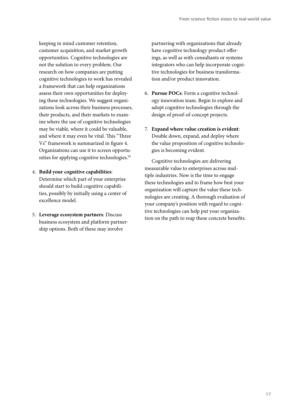keeping in mind customer retention, customer acquisition, and market growth opportunities. Cognitive technologies are not the solution to every problem. Our research on how companies are putting cognitive technologies to work has revealed a framework that can help organizations assess their own opportunities for deploying these technologies. We suggest organizations look across their business processes, their products, and their markets to examine where the use of cognitive technologies may be viable, where it could be valuable, and where it may even be vital. This "Three Vs" framework is summarized in figure 4. Organizations can use it to screen opportunities for applying cognitive technologies.<sup>93</sup>

- 4. **Build your cognitive capabilities**: Determine which part of your enterprise should start to build cognitive capabilities, possibly by initially using a center of excellence model.
- 5. **Leverage ecosystem partners**: Discuss business ecosystem and platform partnership options. Both of these may involve

partnering with organizations that already have cognitive technology product offerings, as well as with consultants or systems integrators who can help incorporate cognitive technologies for business transformation and/or product innovation.

- 6. **Pursue POCs**: Form a cognitive technology innovation team. Begin to explore and adopt cognitive technologies through the design of proof-of-concept projects.
- 7. **Expand where value creation is evident**: Double down, expand, and deploy where the value proposition of cognitive technologies is becoming evident.

Cognitive technologies are delivering measurable value to enterprises across multiple industries. Now is the time to engage these technologies and to frame how best your organization will capture the value these technologies are creating. A thorough evaluation of your company's position with regard to cognitive technologies can help put your organization on the path to reap these concrete benefits.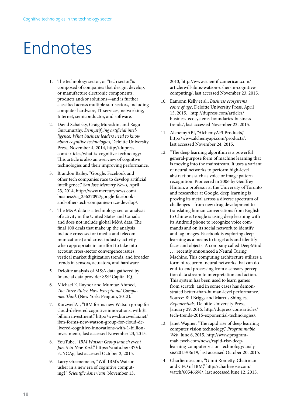## <span id="page-21-0"></span>Endnotes

- 1. The technology sector, or "tech sector,"is composed of companies that design, develop, or manufacture electronic components, products and/or solutions—and is further classified across multiple sub-sectors, including computer hardware, IT services, networking, Internet, semiconductor, and software.
- 2. David Schatsky, Craig Muraskin, and Ragu Gurumurthy, *Demystifying artificial intelligence: What business leaders need to know about cognitive technologies*, Deloitte University Press, November 4, 2014, http://dupress. com/articles/what-is-cognitive-technology/. This article is also an overview of cognitive technologies and their improving performance.
- 3. Brandon Bailey, "Google, Facebook and other tech companies race to develop artificial intelligence," *San Jose Mercury News*, April 23, 2014, http://www.mercurynews.com/ business/ci\_25627092/google-facebookand-other-tech-companies-race-develop/.
- 4. The M&A data is a technology sector analysis of activity in the United States and Canada and does not include global M&A data. The final 100 deals that make up the analysis include cross-sector (media and telecommunications) and cross-industry activity when appropriate in an effort to take into account cross-sector convergence issues, vertical market digitization trends, and broader trends in sensors, actuators, and hardware.
- 5. Deloitte analysis of M&A data gathered by financial data provider S&P Capital IQ.
- 6. Michael E. Raynor and Mumtaz Ahmed, *The Three Rules: How Exceptional Companies Think* (New York: Penguin, 2013).
- 7. KurzweilAI, "IBM forms new Watson group for cloud-delivered cognitive innovations, with \$1 billion investment," http://www.kurzweilai.net/ ibm-forms-new-watson-group-for-cloud-delivered-cognitive-innovations-with-1-billioninvestment/, last accessed November 23, 2015.
- 8. YouTube, "*IBM Watson Group launch event Jan. 9 in New York*," https://youtu.be/rB7VkrUYCAg, last accessed October 2, 2015.
- 9. Larry Greenemeier, "Will IBM's Watson usher in a new era of cognitive computing?" *Scientific American*, November 13,

2013, http://www.scientificamerican.com/ article/will-ibms-watson-usher-in-cognitivecomputing/, last accessed November 23, 2015.

- 10. Eamonn Kelly et al., *Business ecosystems come of age*, Deloitte University Press, April 15, 2015, http://dupress.com/articles/ business-ecosystems-boundaries-businesstrends/, last accessed November 23, 2015.
- 11. AlchemyAPI, "AlchemyAPI Products," http://www.alchemyapi.com/products/, last accessed November 24, 2015.
- 12. "The deep learning algorithm is a powerful general-purpose form of machine learning that is moving into the mainstream. It uses a variant of neural networks to perform high-level abstractions such as voice or image pattern recognition. Pioneered in 2006 by Geoffrey Hinton, a professor at the University of Toronto and researcher at Google, deep learning is proving its metal across a diverse spectrum of challenges—from new drug development to translating human conversations from English to Chinese. Google is using deep learning with its Android phone to recognize voice commands and on its social network to identify and tag images. Facebook is exploring deep learning as a means to target ads and identify faces and objects. A company called DeepMind . . . recently announced a Neural Turing Machine. This computing architecture utilizes a form of recurrent neural networks that can do end-to-end processing from a sensory perception data stream to interpretation and action. This system has been used to learn games from scratch, and in some cases has demonstrated better-than-human-level performance." Source: Bill Briggs and Marcus Shingles, *Exponentials*, Deloitte University Press, January 29, 2015, http://dupress.com/articles/ tech-trends-2015-exponential-technologies/.
- 13. Janet Wagner, "The rapid rise of deep learning computer vision technology," *Programmable Web*, June 6, 2015, http://www.programmableweb.com/news/rapid-rise-deeplearning-computer-vision-technology/analysis/2015/06/19, last accessed October 20, 2015.
- 14. Charlierose.com, "Ginni Rometty, Chairman and CEO of IBM," http://charlierose.com/ watch/60546698/, last accessed June 12, 2015.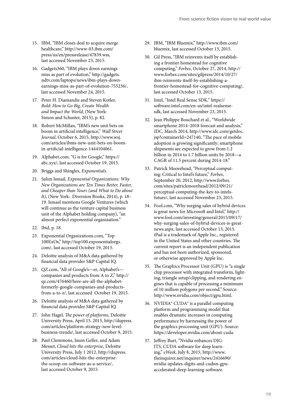- 15. IBM, "IBM closes deal to acquire merge healthcare," http://www-03.ibm.com/ press/us/en/pressrelease/47839.wss, last accessed November 23, 2015.
- 16. Gadgets360, "IBM plays down earnings miss as part of evolution," http://gadgets. ndtv.com/laptops/news/ibm-plays-downearnings-miss-as-part-of-evolution-755236/, last accessed November 24, 2015.
- 17. Peter H. Diamandis and Steven Kotler, *Bold: How to Go Big, Create Wealth and Impact the World*, (New York: Simon and Schuster, 2015), p. 82.
- 18. Robert McMillan, "IBM's new unit bets on boom in artificial intelligence," *Wall Street Journal*, October 6, 2015, http://www.wsj. com/articles/ibms-new-unit-bets-on-boomin-artificial-intelligence-1444104061.
- 19. Alphabet.com, "G is for Google," https:// abc.xyz/, last accessed October 19, 2015.
- 20. Briggs and Shingles, *Exponentials*.
- 21. Salim Ismail, *Exponential Organizations: Why New Organizations are Ten Times Better, Faster, and Cheaper than Yours (and What to Do about It)*, (New York: Diversion Books, 2014), p. 18– 19. Ismael mentions Google Ventures (which will continue as the venture capital business unit of the Alphabet holding company), "an almost perfect exponential organization."
- 22. Ibid, p. 18.
- 23. Exponential Organizations.com, "Top 100ExOs," http://top100.exponentialorgs. com/, last accessed October 19, 2015.
- 24. Deloitte analysis of M&A data gathered by financial data provider S&P Capital IQ.
- 25. QZ.com, "All of Google's—er, Alphabet's companies and products from A to Z," http:// qz.com/476460/here-are-all-the-alphabetformerly-google-companies-and-productsfrom-a-to-z/, last accessed October 19, 2015.
- 26. Deloitte analysis of M&A data gathered by financial data provider S&P Capital IQ.
- 27. John Hagel, *The power of platforms*, Deloitte University Press, April 15, 2015, http://dupress. com/articles/platform-strategy-new-levelbusiness-trends/, last accessed October 9, 2015.
- 28. Paul Clemmons, Jason Geller, and Adam Messer, *Cloud hits the enterprise*, Deloitte University Press, July 1 2012, http://dupress. com/articles/cloud-hits-the-enterprisethe-scoop-on-software-as-a-service/, last accessed October 9, 2015.
- 29. IBM, "IBM Bluemix," http://www.ibm.com/ bluemix, last accessed October 13, 2015.
- 30. Gil Press, "IBM reinvents itself by establishing a frontier homestead for cognitive computing," *Forbes*, October 27, 2014, http:// www.forbes.com/sites/gilpress/2014/10/27/ ibm-reinvents-itself-by-establishing-afrontier-homestead-for-cognitive-computing/, last accessed October 13, 2015.
- 31. Intel, "Intel Real Sense SDK," https:// software.intel.com/en-us/intel-realsensesdk, last accessed November 23, 2015.
- 32. Jean Philippe Bouchard et al., "Worldwide smartphone 2014–2018 forecast and analysis," *IDC*, March 2014, http://www.idc.com/getdoc. jsp?containerId=247140, "The pace of mobile adoption is growing significantly; smartphone shipments are expected to grow from 1.2 billion in 2014 to 1.7 billion units by 2018—a CAGR of 11.5 percent during 2014-18."
- 33. Patrick Moorehead, "Perceptual computing: Critical to Intel's future," *Forbes*, September 20, 2012, http://www.forbes. com/sites/patrickmoorhead/2012/09/21/ perceptual-computing-the-key-to-intelsfuture/, last accessed November 23, 2015.
- 34. Fool.com, "Why surging sales of hybrid devices is great news for Microsoft and Intel," http:// www.fool.com/investing/general/2015/09/17/ why-surging-sales-of-hybrid-devices-is-greatnews.aspx, last accessed October 13, 2015. iPad is a trademark of Apple Inc., registered in the United States and other countries. The current report is an independent publication and has not been authorized, sponsored, or otherwise approved by Apple Inc.
- 35. The Graphics Processor Unit (GPU) is "a single chip processor with integrated transform, lighting, triangle setup/clipping, and rendering engines that is capable of processing a minimum of 10 million polygons per second." Source: http://www.nvidia.com/object/gpu.html.
- 36. NVIDIA® CUDA® is a parallel computing platform and programming model that enables dramatic increases in computing performance by harnessing the power of the graphics processing unit (GPU). Source: https://developer.nvidia.com/about-cuda.
- 37. Jeffrey Burt, "Nvidia enhances DIG-ITS, CUDA software for deep learning," *eWeek*, July 8, 2015, http://www. theinquirer.net/inquirer/news/2416690/ nvidia-updates-digits-and-cudnn-gpuaccelerated-deep-learning-software.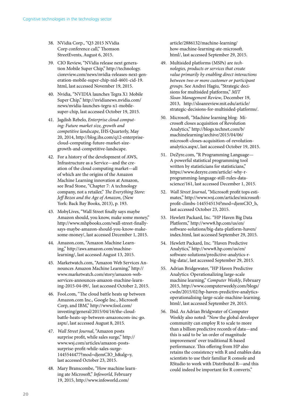- 38. NVidia Corp., "Q3 2015 NVidia Corp conference call," Thomson StreetEvents, August 6, 2015.
- 39. CIO Review, "NVidia release next generation Mobile Super Chip," http://technology. cioreview.com/news/nvidia-releases-next-generation-mobile-super-chip-nid-4601-cid-19. html, last accessed November 19, 2015.
- 40. Nvidia, "NVIDIA launches Tegra X1 Mobile Super Chip," http://nvidianews.nvidia.com/ news/nvidia-launches-tegra-x1-mobilesuper-chip, last accessed October 19, 2015.
- 41. Jagdish Rebelo, *Enterprise cloud computing: Future market size, growth and competitive landscape*, IHS Quarterly, May 20, 2014, http://blog.ihs.com/q12-enterprisecloud-computing-future-market-sizegrowth-and-competitive-landscape.
- 42. For a history of the development of AWS, Infrastructure as a Service—and the creation of the cloud computing market—all of which are the origins of the Amazon Machine Learning innovation at Amazon, see Brad Stone, "Chapter 7: A technology company, not a retailer," *The Everything Store: Jeff Bezos and the Age of Amazon*, (New York: Back Bay Books, 2013), p. 193.
- 43. MobyLives, "Wall Street finally says maybe Amazon should, you know, make some money," http://www.mhpbooks.com/wall-street-finallysays-maybe-amazon-should-you-know-makesome-money/, last accessed December 1, 2015.
- 44. Amazon.com, "Amazon Machine Learning," http://aws.amazon.com/machinelearning/, last accessed August 13, 2015.
- 45. Marketwatch.com, "Amazon Web Services Announces Amazon Machine Learning," http:// www.marketwatch.com/story/amazon-webservices-announces-amazon-machine-learning-2015-04-09/, last accessed October 2, 2015.
- 46. Fool.com, "The cloud battle heats up between Amazon.com Inc., Google Inc., Microsoft Corp, and IBM," http://www.fool.com/ investing/general/2015/04/16/the-cloudbattle-heats-up-between-amazoncom-inc-go. aspx/, last accessed August 8, 2015.
- 47. *Wall Street Journal*, "Amazon posts surprise profit, while sales surge," http:// www.wsj.com/articles/amazon-postssurprise-profit-while-sales-surge-1445544477?mod=djemCIO\_h&alg=y, last accessed October 23, 2015.
- 48. Mary Branscombe, "How machine learning ate Microsoft," *Infoworld*, February 19, 2015, http://www.infoworld.com/

article/2886132/machine-learning/ how-machine-learning-ate-microsoft. html/, last accessed September 29, 2015.

- 49. Multisided platforms (MSPs) are *technologies, products or services that create value primarily by enabling direct interactions between two or more customer or participant groups*. See Andrei Hagiu, "Strategic decisions for multisided platforms," *MIT Sloan Management Review*, December 19, 2013, http://sloanreview.mit.edu/article/ strategic-decisions-for-multisided-platforms/.
- 50. Microsoft, "Machine learning blog: Microsoft closes acquisition of Revolution Analytics," http://blogs.technet.com/b/ machinelearning/archive/2015/04/06/ microsoft-closes-acquisition-of-revolutionanalytics.aspx/, last accessed October 19, 2015.
- 51. DeZyre.com, "R Programming Language— A powerful statistical programming tool written by statisticians for statisticians," https://www.dezyre.com/article/-why-rprogramming-language-still-rules-datascience/161, last accessed December 1, 2015.
- 52. *Wall Street Journal*, "Microsoft profit tops estimates," http://www.wsj.com/articles/microsoftprofit-climbs-1445545134?mod=djemCIO\_h, last accessed October 23, 2015.
- 53. Hewlett Packard, Inc. "HP Haven Big Data Platform," http://www8.hp.com/us/en/ software-solutions/big-data-platform-haven/ index.html, last accessed September 29, 2015.
- 54. Hewlett Packard, Inc. "Haven Predictive Analytics," http://www8.hp.com/us/en/ software-solutions/predictive-analytics-rbig-data/, last accessed September 29, 2015.
- 55. Adrian Bridgewater, "HP Haven Predictive Analytics: Operationalizing large-scale machine learning," *Computer Weekly*, February 2015, http://www.computerweekly.com/blogs/ cwdn/2015/02/hp-haven-predictive-analyticsoperationalising-large-scale-machine-learning. html/, last accessed September 29, 2015.
- 56. Ibid. As Adrian Bridgwater of Computer Weekly also noted: "Now the global developer community can employ R to scale to more than a billion predictive records of data—and this is said to be 'an order of magnitude improvement' over traditional R-based performance. This offering from HP also retains the consistency with R and enables data scientists to use their familiar R console and RStudio to work with Distributed R—and this could indeed be important for R converts."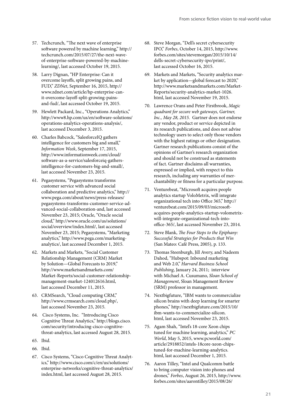- 57. Techcrunch, "The next wave of enterprise software powered by machine learning," http:// techcrunch.com/2015/07/27/the-next-waveof-enterprise-software-powered-by-machinelearning/, last accessed October 19, 2015.
- 58. Larry Dignan, "HP Enterprise: Can it overcome layoffs, split growing pains, and FUD," *ZDNet*, September 16, 2015, http:// www.zdnet.com/article/hp-enterprise-canit-overcome-layoff-split-growing-painsand-fud/, last accessed October 19, 2015.
- 59. Hewlett Packard, Inc., "Operations Analytics," http://www8.hp.com/us/en/software-solutions/ operations-analytics-operations-analysis/, last accessed December 3, 2015.
- 60. Charles Babcock, "SalesforceIQ gathers intelligence for customers big and small," *Information Week*, September 17, 2015, http://www.informationweek.com/cloud/ software-as-a-service/salesforceiq-gathersintelligence-for-customers-big-and-small/, last accessed November 23, 2015.
- 61. Pegasystems, "Pegasystems transforms customer service with advanced social collaboration and predictive analytics," http:// www.pega.com/about/news/press-releases/ pegasystems-transforms-customer-service-advanced-social-collaboration-and, last accessed November 23, 2015; Oracle, "Oracle social cloud," http://www.oracle.com/us/solutions/ social/overview/index.html/, last accessed November 23, 2015; Pegasystems, "Marketing analytics," http://www.pega.com/marketinganalytics/, last accessed December 1, 2015.
- 62. Markets and Markets, "Social Customer Relationship Management (CRM) Market by Solution—Global Forecasts to 2019," http://www.marketsandmarkets.com/ Market-Reports/social-customer-relationshipmanagement-market-124012616.html, last accessed December 11, 2015.
- 63. CRMSearch, "Cloud computing CRM," http://www.crmsearch.com/cloud.php/, last accessed November 23, 2015.
- 64. Cisco Systems, Inc. "Introducing Cisco Cognitive Threat Analytics," http://blogs.cisco. com/security/introducing-cisco-cognitivethreat-analytics, last accessed August 28, 2015.
- 65. Ibid.
- 66. Ibid.
- 67. Cisco Systems, "Cisco Cognitive Threat Analytics," http://www.cisco.com/c/en/us/solutions/ enterprise-networks/cognitive-threat-analytics/ index.html, last accessed August 28, 2015.
- 68. Steve Morgan, "Dell's secret cybersecurity IPO," *Forbes*, October 14, 2015, http://www. forbes.com/sites/stevemorgan/2015/10/14/ dells-secret-cybersecurity-ipo/print/, last accessed October 16, 2015.
- 69. Markets and Markets, "Security analytics market by application—global forecast to 2020," http://www.marketsandmarkets.com/Market-Reports/security-analytics-market-1026. html, last accessed November 19, 2015.
- 70. Lawrence Orans and Peter Firstbrook, *Magic quadrant for secure web gateways, Gartner, Inc., May 28, 2015.* Gartner does not endorse any vendor, product or service depicted in its research publications, and does not advise technology users to select only those vendors with the highest ratings or other designation. Gartner research publications consist of the opinions of Gartner's research organization and should not be construed as statements of fact. Gartner disclaims all warranties, expressed or implied, with respect to this research, including any warranties of merchantability or fitness for a particular purpose.
- 71. Venturebeat, "Microsoft acquires people analytics startup VoloMetrix, will integrate organizational tech into Office 365," http:// venturebeat.com/2015/09/03/microsoftacquires-people-analytics-startup-volometrixwill-integrate-organizational-tech-intooffice-365/, last accessed November 23, 2014.
- 72. Steve Blank, *The Four Steps to the Epiphany: Successful Strategies for Products that Win* (San Mateo: Café Press, 2005), p. 133.
- 73. Thomas Steenburgh, Jill Avery, and Nadeem Dahod, "Hubspot: Inbound marketing and Web 2.0," *Harvard Business School Publishing*, January 24, 2011; interview with Michael A. Cusumano, *Sloan School of Management*, Sloan Management Review (SRM) professor in management.
- 74. Nextbigfuture, "IBM wants to commercialize silicon brains with deep learning for smarter phones," http://nextbigfuture.com/2015/10/ ibm-wants-to-commercialize-silicon. html, last accessed November 23, 2015.
- 75. Agam Shah, "Intel's 18-core Xeon chips tuned for machine learning, analytics," *PC World*, May 5, 2015, www.pcworld.com/ article/2918852/intels-18core-xeon-chipstuned-for-machine-learning-analytics. html, last accessed December 1, 2015.
- 76. Aaron Tilley, "Intel and Qualcomm battle to bring computer vision into phones and drones," *Forbes*, August 26, 2015, http://www. forbes.com/sites/aarontilley/2015/08/26/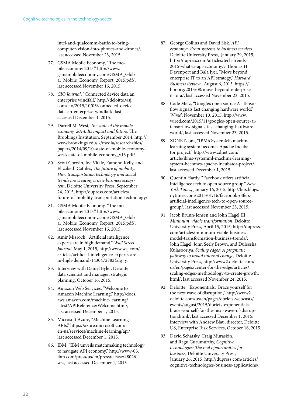intel-and-qualcomm-battle-to-bringcomputer-vision-into-phones-and-drones/, last accessed November 23, 2015.

- 77. GSMA Mobile Economy, "The mobile economy 2015," http://www. gsmamobileeconomy.com/GSMA\_Global\_Mobile\_Economy\_Report\_2015.pdf/, last accessed November 16, 2015.
- 78. *CIO Journal*, "Connected device data an enterprise windfall," http://deloitte.wsj. com/cio/2015/10/05/connected-devicedata-an-enterprise-windfall/, last accessed December 1, 2015.
- 79. Darrell M. West, *The state of the mobile economy, 2014: Its impact and future*, The Brookings Institution, September 2014, http:// www.brookings.edu/~/media/research/files/ papers/2014/09/10-state-of-mobile-economywest/state-of-mobile-economy\_v13.pdf/.
- 80. Scott Corwin, Joe Vitale, Eamonn Kelly, and Elizabeth Cathles, *The future of mobility: How transportation technology and social trends are creating a new business ecosystem*, Deloitte University Press, September 24, 2015, http://dupress.com/articles/ future-of-mobility-transportation-technology/.
- 81. GSMA Mobile Economy, "The mobile economy 2015," http://www. gsmamobileeconomy.com/GSMA\_Global\_Mobile\_Economy\_Report\_2015.pdf/, last accessed November 16, 2015.
- 82. Amir Mizroch, "Artificial intelligence experts are in high demand," *Wall Street Journal*, May 1, 2015, http://www.wsj.com/ articles/artificial-intelligence-experts-arein-high-demand-1430472782?alg=y.
- 83. Interview with Daniel Byler, Deloitte data scientist and manager, strategic planning, October 16, 2015.
- 84. Amazon Web Services, "Welcome to Amazon Machine Learning," http://docs. aws.amazon.com/machine-learning/ latest/APIReference/Welcome.html/, last accessed December 1, 2015.
- 85. Microsoft Azure, "Machine Learning APIs," https://azure.microsoft.com/ en-us/services/machine-learning/api/, last accessed December 1, 2015.
- 86. IBM, "IBM unveils matchmaking technology to navigate API economy," http://www-03. ibm.com/press/us/en/pressrelease/48026. wss, last accessed December 1, 2015.
- 87. George Collins and David Sisk, *API economy: From systems to business services*, Deloitte University Press, January 29, 2015, http://dupress.com/articles/tech-trends-2015-what-is-api-economy/; Thomas H. Davenport and Bala Iyer, "Move beyond enterprise IT to an API strategy," *Harvard Business Review*, August 6, 2013, https:// hbr.org/2013/08/move-beyond-enterpriseit-to-a/, last accessed November 23, 2015.
- 88. Cade Metz, "Google's open source AI Tensorflow signals fast changing hardware world," *Wired*, November 10, 2015, http://www. wired.com/2015/11/googles-open-source-aitensorflow-signals-fast-changing-hardwareworld/, last accessed November 23, 2015.
- 89. ZDNET.com, "IBM's SystemML machine learning system becomes Apache Incubator project," http://www.zdnet.com/ article/ibms-systemml-machine-learningsystem-becomes-apache-incubator-project/, last accessed December 1, 2015.
- 90. Quentin Hardy, "Facebook offers artificial intelligence tech to open source group," *New York Times*, January 16, 2015, http://bits.blogs. nytimes.com/2015/01/16/facebook-offersartificial-intelligence-tech-to-open-sourcegroup/, last accessed November 23, 2015.
- 91. Jacob Bruun-Jensen and John Hagel III, *Minimum viable transformation*, Deloitte University Press, April 15, 2015, http://dupress. com/articles/minimum-viable-businessmodel-transformation-business-trends/; John Hagel, John Seely Brown, and Duleesha Kulasooriya, *Scaling edges: A pragmatic pathway to broad internal change*, Deloitte University Press, http://www2.deloitte.com/ us/en/pages/center-for-the-edge/articles/ scaling-edges-methodology-to-create-growth. html/, last accessed November 24, 2015.
- 92. Deloitte, "Exponentials: Brace yourself for the next wave of disruption," http://www2. deloitte.com/us/en/pages/dbriefs-webcasts/ events/august/2015/dbriefs-exponentialsbrace-yourself-for-the-next-wave-of-disruption.html/, last accessed December 1, 2015; interview with Andrew Blau, director, Deloitte US, Enterprise Risk Services, October 16, 2015.
- 93. David Schatsky, Craig Muraskin, and Ragu Gurumurthy, *Cognitive technologies: The real opportunities for business*, Deloitte University Press, January 26, 2015, http://dupress.com/articles/ cognitive-technologies-business-applications/.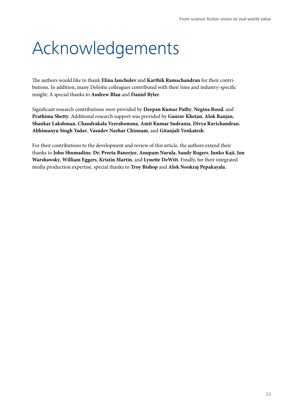# Acknowledgements

The authors would like to thank **Elina Ianchulev** and **Karthik Ramachandran** for their contributions. In addition, many Deloitte colleagues contributed with their time and industry-specific insight: A special thanks to **Andrew Blau** and **Daniel Byler**.

Significant research contributions were provided by **Deepan Kumar Pathy**, **Negina Rood**, and **Prathima Shetty**. Additional research support was provided by **Gaurav Khetan**, **Alok Ranjan**, **Shankar Lakshman**, **Chandrakala Veerabomma**, **Amit Kumar Sudrania**, **Divya Ravichandran**, **Abhimanyu Singh Yadav**, **Vasudev Neehar Chinnam**, and **Gitanjali Venkatesh**.

For their contributions to the development and review of this article, the authors extend their thanks to **John Shumadine**, **Dr. Preeta Banerjee**, **Anupam Narula**, **Sandy Rogers**, **Junko Kaji**, **Jon Warshawsky**, **William Eggers**, **Kristin Martin**, and **Lynette DeWitt**. Finally, for their integrated media production expertise, special thanks to **Troy Bishop** and **Alok Nookraj Pepakayala**.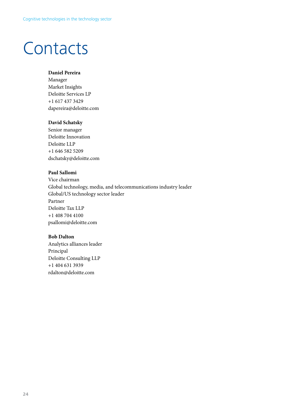## Contacts

#### **Daniel Pereira**

Manager Market Insights Deloitte Services LP +1 617 437 3429 dapereira@deloitte.com

#### **David Schatsky**

Senior manager Deloitte Innovation Deloitte LLP +1 646 582 5209 dschatsky@deloitte.com

#### **Paul Sallomi**

Vice chairman Global technology, media, and telecommunications industry leader Global/US technology sector leader Partner Deloitte Tax LLP +1 408 704 4100 psallomi@deloitte.com

#### **Bob Dalton**

Analytics alliances leader Principal Deloitte Consulting LLP +1 404 631 3939 rdalton@deloitte.com